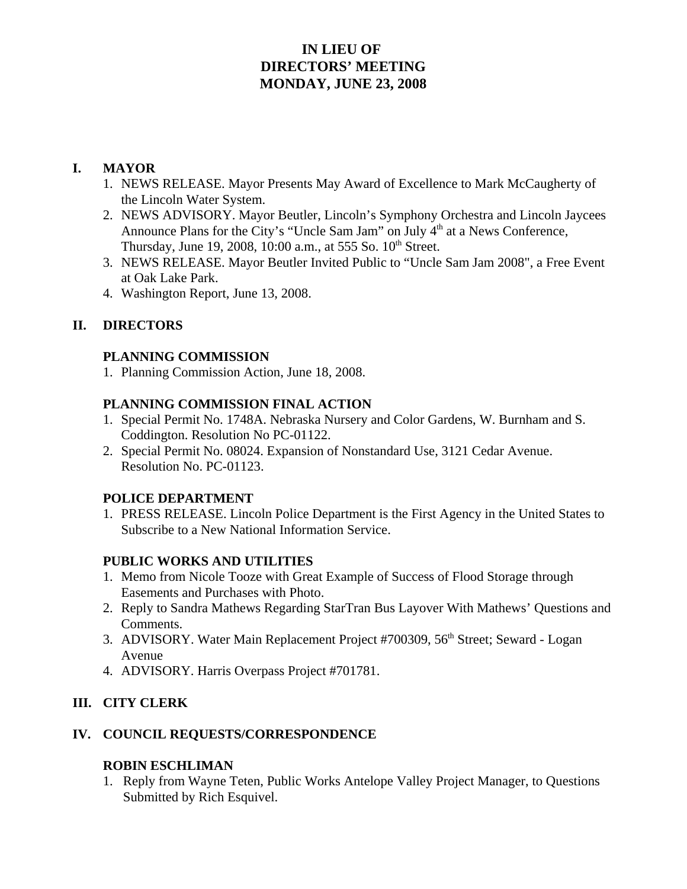# **IN LIEU OF DIRECTORS' MEETING MONDAY, JUNE 23, 2008**

#### **I. MAYOR**

- 1. NEWS RELEASE. Mayor Presents May Award of Excellence to Mark McCaugherty of the Lincoln Water System.
- 2. NEWS ADVISORY. Mayor Beutler, Lincoln's Symphony Orchestra and Lincoln Jaycees Announce Plans for the City's "Uncle Sam Jam" on July 4<sup>th</sup> at a News Conference, Thursday, June 19, 2008, 10:00 a.m., at 555 So. 10<sup>th</sup> Street.
- 3. NEWS RELEASE. Mayor Beutler Invited Public to "Uncle Sam Jam 2008", a Free Event at Oak Lake Park.
- 4. Washington Report, June 13, 2008.

# **II. DIRECTORS**

#### **PLANNING COMMISSION**

1. Planning Commission Action, June 18, 2008.

# **PLANNING COMMISSION FINAL ACTION**

- 1. Special Permit No. 1748A. Nebraska Nursery and Color Gardens, W. Burnham and S. Coddington. Resolution No PC-01122.
- 2. Special Permit No. 08024. Expansion of Nonstandard Use, 3121 Cedar Avenue. Resolution No. PC-01123.

# **POLICE DEPARTMENT**

1. PRESS RELEASE. Lincoln Police Department is the First Agency in the United States to Subscribe to a New National Information Service.

# **PUBLIC WORKS AND UTILITIES**

- 1. Memo from Nicole Tooze with Great Example of Success of Flood Storage through Easements and Purchases with Photo.
- 2. Reply to Sandra Mathews Regarding StarTran Bus Layover With Mathews' Questions and Comments.
- 3. ADVISORY. Water Main Replacement Project #700309, 56<sup>th</sup> Street; Seward Logan Avenue
- 4. ADVISORY. Harris Overpass Project #701781.

# **III. CITY CLERK**

#### **IV. COUNCIL REQUESTS/CORRESPONDENCE**

#### **ROBIN ESCHLIMAN**

1. Reply from Wayne Teten, Public Works Antelope Valley Project Manager, to Questions Submitted by Rich Esquivel.